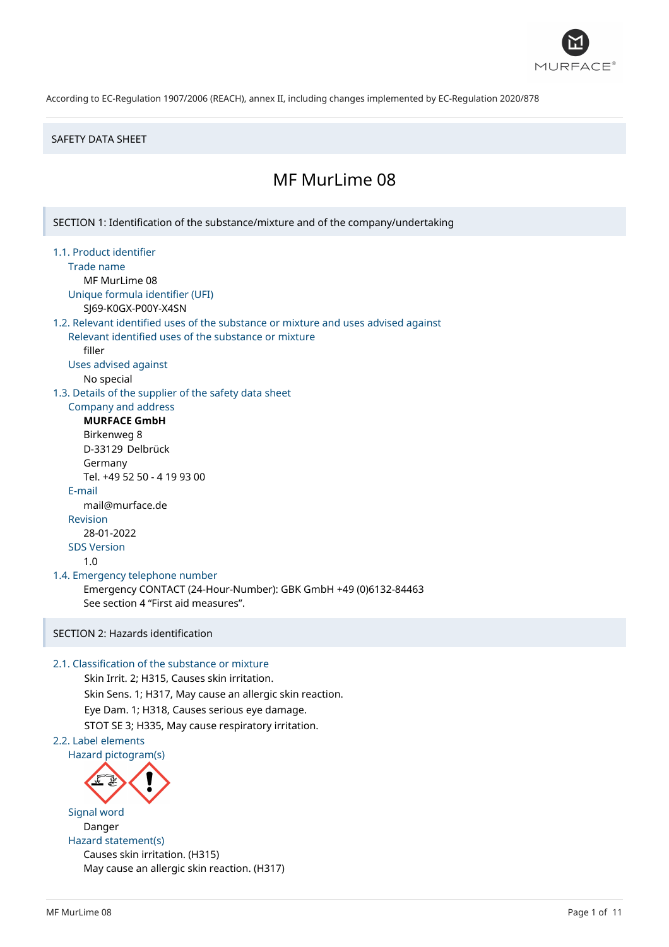

#### SAFETY DATA SHEET

# MF MurLime 08

SECTION 1: Identification of the substance/mixture and of the company/undertaking 1.1. Product identifier Trade name MF MurLime 08 Unique formula identifier (UFI) SJ69-K0GX-P00Y-X4SN 1.2. Relevant identified uses of the substance or mixture and uses advised against Relevant identified uses of the substance or mixture filler Uses advised against No special 1.3. Details of the supplier of the safety data sheet Company and address **MURFACE GmbH** Birkenweg 8 D-33129 Delbrück Germany Tel. +49 52 50 - 4 19 93 00 E-mail mail@murface.de Revision 28-01-2022 SDS Version 1.0 1.4. Emergency telephone number Emergency CONTACT (24-Hour-Number): GBK GmbH +49 (0)6132-84463 See section 4 "First aid measures". SECTION 2: Hazards identification 2.1. Classification of the substance or mixture Skin Irrit. 2; H315, Causes skin irritation. Skin Sens. 1; H317, May cause an allergic skin reaction. Eye Dam. 1; H318, Causes serious eye damage. STOT SE 3; H335, May cause respiratory irritation. 2.2. Label elements Hazard pictogram(s)

Signal word Danger Hazard statement(s) Causes skin irritation. (H315) May cause an allergic skin reaction. (H317)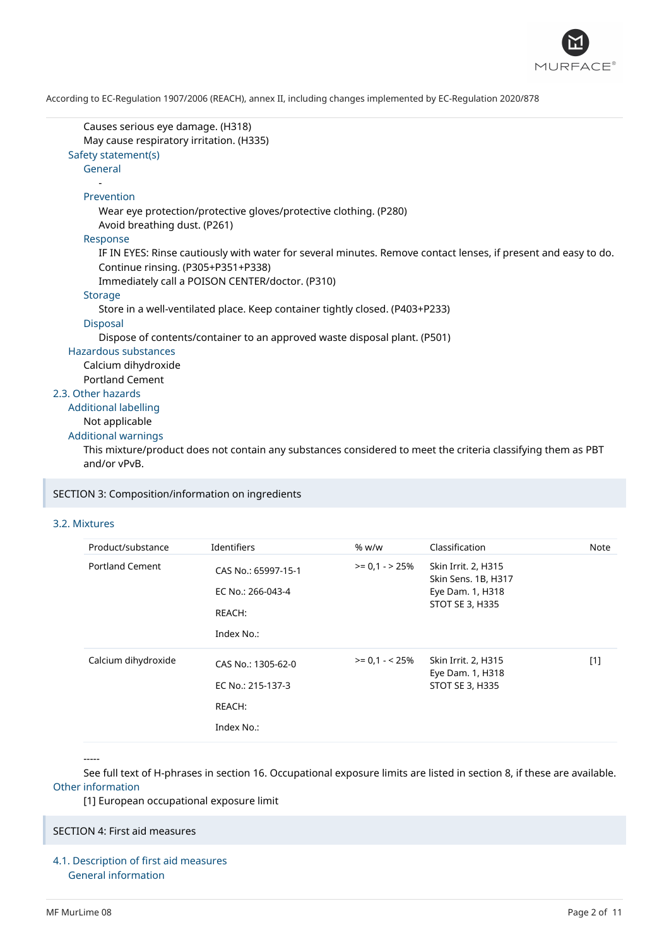

| Causes serious eye damage. (H318)<br>May cause respiratory irritation. (H335)<br>Safety statement(s)           |  |
|----------------------------------------------------------------------------------------------------------------|--|
| General                                                                                                        |  |
|                                                                                                                |  |
| Prevention                                                                                                     |  |
| Wear eye protection/protective gloves/protective clothing. (P280)<br>Avoid breathing dust. (P261)              |  |
| Response                                                                                                       |  |
| IF IN EYES: Rinse cautiously with water for several minutes. Remove contact lenses, if present and easy to do. |  |
| Continue rinsing. (P305+P351+P338)                                                                             |  |
| Immediately call a POISON CENTER/doctor. (P310)                                                                |  |
| <b>Storage</b>                                                                                                 |  |
| Store in a well-ventilated place. Keep container tightly closed. (P403+P233)                                   |  |
| <b>Disposal</b>                                                                                                |  |
| Dispose of contents/container to an approved waste disposal plant. (P501)                                      |  |
| Hazardous substances                                                                                           |  |
| Calcium dihydroxide                                                                                            |  |
| <b>Portland Cement</b>                                                                                         |  |
| 2.3. Other hazards                                                                                             |  |
| <b>Additional labelling</b>                                                                                    |  |
| Not applicable                                                                                                 |  |
| <b>Additional warnings</b>                                                                                     |  |
| This mixture/product does not contain any substances considered to meet the criteria classifying them as PBT   |  |
| and/or vPvB.                                                                                                   |  |

## SECTION 3: Composition/information on ingredients

## 3.2. Mixtures

| Product/substance      | Identifiers                                                      | % w/w           | Classification                                                                    | Note  |
|------------------------|------------------------------------------------------------------|-----------------|-----------------------------------------------------------------------------------|-------|
| <b>Portland Cement</b> | CAS No.: 65997-15-1<br>EC No.: 266-043-4<br>REACH:<br>Index No.: | $>= 0.1 - 25%$  | Skin Irrit. 2, H315<br>Skin Sens. 1B, H317<br>Eye Dam. 1, H318<br>STOT SE 3, H335 |       |
| Calcium dihydroxide    | CAS No.: 1305-62-0<br>EC No.: 215-137-3<br>REACH:<br>Index No.:  | $>= 0.1 - 25\%$ | Skin Irrit. 2, H315<br>Eye Dam. 1, H318<br><b>STOT SE 3, H335</b>                 | $[1]$ |

-----

See full text of H-phrases in section 16. Occupational exposure limits are listed in section 8, if these are available. Other information

[1] European occupational exposure limit

## SECTION 4: First aid measures

4.1. Description of first aid measures General information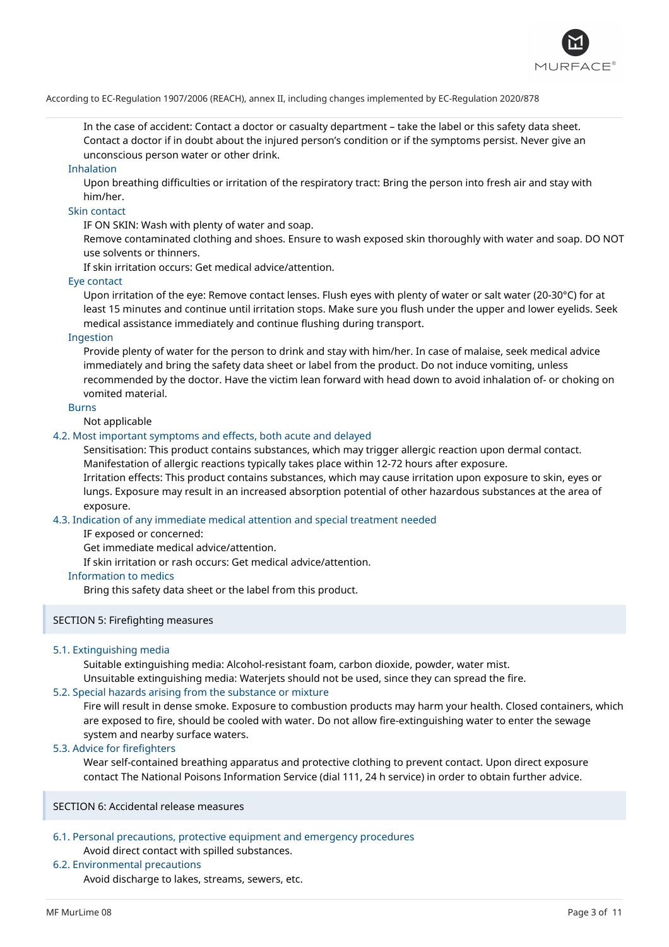

In the case of accident: Contact a doctor or casualty department – take the label or this safety data sheet. Contact a doctor if in doubt about the injured person's condition or if the symptoms persist. Never give an unconscious person water or other drink.

#### Inhalation

Upon breathing difficulties or irritation of the respiratory tract: Bring the person into fresh air and stay with him/her.

#### Skin contact

IF ON SKIN: Wash with plenty of water and soap.

Remove contaminated clothing and shoes. Ensure to wash exposed skin thoroughly with water and soap. DO NOT use solvents or thinners.

If skin irritation occurs: Get medical advice/attention.

#### Eye contact

Upon irritation of the eye: Remove contact lenses. Flush eyes with plenty of water or salt water (20-30°C) for at least 15 minutes and continue until irritation stops. Make sure you flush under the upper and lower eyelids. Seek medical assistance immediately and continue flushing during transport.

### Ingestion

Provide plenty of water for the person to drink and stay with him/her. In case of malaise, seek medical advice immediately and bring the safety data sheet or label from the product. Do not induce vomiting, unless recommended by the doctor. Have the victim lean forward with head down to avoid inhalation of- or choking on vomited material.

#### Burns

Not applicable

## 4.2. Most important symptoms and effects, both acute and delayed

Sensitisation: This product contains substances, which may trigger allergic reaction upon dermal contact. Manifestation of allergic reactions typically takes place within 12-72 hours after exposure.

Irritation effects: This product contains substances, which may cause irritation upon exposure to skin, eyes or lungs. Exposure may result in an increased absorption potential of other hazardous substances at the area of exposure.

#### 4.3. Indication of any immediate medical attention and special treatment needed

IF exposed or concerned:

Get immediate medical advice/attention.

If skin irritation or rash occurs: Get medical advice/attention.

### Information to medics

Bring this safety data sheet or the label from this product.

#### SECTION 5: Firefighting measures

## 5.1. Extinguishing media

Suitable extinguishing media: Alcohol-resistant foam, carbon dioxide, powder, water mist.

Unsuitable extinguishing media: Waterjets should not be used, since they can spread the fire.

## 5.2. Special hazards arising from the substance or mixture

Fire will result in dense smoke. Exposure to combustion products may harm your health. Closed containers, which are exposed to fire, should be cooled with water. Do not allow fire-extinguishing water to enter the sewage system and nearby surface waters.

### 5.3. Advice for firefighters

Wear self-contained breathing apparatus and protective clothing to prevent contact. Upon direct exposure contact The National Poisons Information Service (dial 111, 24 h service) in order to obtain further advice.

SECTION 6: Accidental release measures

## 6.1. Personal precautions, protective equipment and emergency procedures Avoid direct contact with spilled substances.

## 6.2. Environmental precautions

Avoid discharge to lakes, streams, sewers, etc.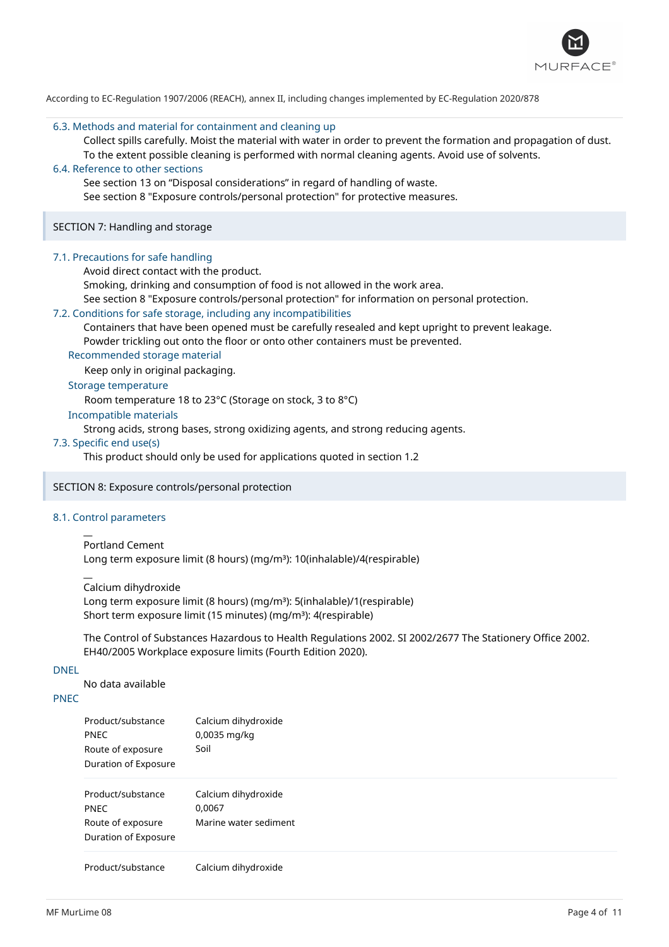

#### 6.3. Methods and material for containment and cleaning up

Collect spills carefully. Moist the material with water in order to prevent the formation and propagation of dust. To the extent possible cleaning is performed with normal cleaning agents. Avoid use of solvents.

## 6.4. Reference to other sections

See section 13 on "Disposal considerations" in regard of handling of waste.

See section 8 "Exposure controls/personal protection" for protective measures.

#### SECTION 7: Handling and storage

#### 7.1. Precautions for safe handling

Avoid direct contact with the product.

Smoking, drinking and consumption of food is not allowed in the work area.

See section 8 "Exposure controls/personal protection" for information on personal protection.

#### 7.2. Conditions for safe storage, including any incompatibilities

Containers that have been opened must be carefully resealed and kept upright to prevent leakage.

Powder trickling out onto the floor or onto other containers must be prevented.

Recommended storage material

Keep only in original packaging.

## Storage temperature

Room temperature 18 to 23°C (Storage on stock, 3 to 8°C)

## Incompatible materials

Strong acids, strong bases, strong oxidizing agents, and strong reducing agents.

### 7.3. Specific end use(s)

This product should only be used for applications quoted in section 1.2

## SECTION 8: Exposure controls/personal protection

## 8.1. Control parameters

 $\overline{a}$ 

#### $\overline{a}$ Portland Cement

Long term exposure limit (8 hours) (mg/m<sup>3</sup>): 10(inhalable)/4(respirable)

Calcium dihydroxide

Long term exposure limit (8 hours) (mg/m<sup>3</sup>): 5(inhalable)/1(respirable) Short term exposure limit (15 minutes) (mg/m<sup>3</sup>): 4(respirable)

The Control of Substances Hazardous to Health Regulations 2002. SI 2002/2677 The Stationery Office 2002. EH40/2005 Workplace exposure limits (Fourth Edition 2020).

## DNEL

No data available

## PNEC

| Product/substance<br><b>PNEC</b><br>Route of exposure<br>Duration of Exposure | Calcium dihydroxide<br>0,0035 mg/kg<br>Soil            |
|-------------------------------------------------------------------------------|--------------------------------------------------------|
| Product/substance<br><b>PNEC</b><br>Route of exposure<br>Duration of Exposure | Calcium dihydroxide<br>0,0067<br>Marine water sediment |
| Donald at the determination                                                   | والمستند والمستطالة والمستند والمسترد والمستر          |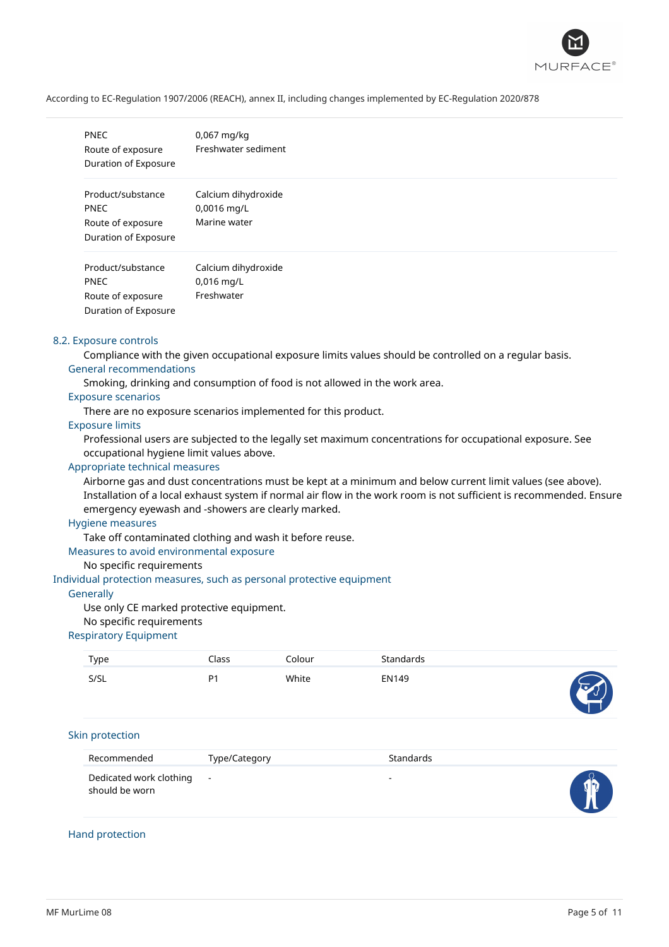

| <b>PNEC</b><br>Route of exposure<br>Duration of Exposure                      | $0,067$ mg/kg<br>Freshwater sediment               |
|-------------------------------------------------------------------------------|----------------------------------------------------|
| Product/substance<br><b>PNEC</b><br>Route of exposure<br>Duration of Exposure | Calcium dihydroxide<br>0,0016 mg/L<br>Marine water |
| Product/substance<br><b>PNEC</b><br>Route of exposure<br>Duration of Exposure | Calcium dihydroxide<br>$0,016$ mg/L<br>Freshwater  |

#### 8.2. Exposure controls

Compliance with the given occupational exposure limits values should be controlled on a regular basis. General recommendations

Smoking, drinking and consumption of food is not allowed in the work area.

#### Exposure scenarios

There are no exposure scenarios implemented for this product.

## Exposure limits

Professional users are subjected to the legally set maximum concentrations for occupational exposure. See occupational hygiene limit values above.

## Appropriate technical measures

Airborne gas and dust concentrations must be kept at a minimum and below current limit values (see above). Installation of a local exhaust system if normal air flow in the work room is not sufficient is recommended. Ensure emergency eyewash and -showers are clearly marked.

### Hygiene measures

Take off contaminated clothing and wash it before reuse.

#### Measures to avoid environmental exposure

#### No specific requirements

Individual protection measures, such as personal protective equipment

#### **Generally**

Use only CE marked protective equipment.

#### No specific requirements

#### Respiratory Equipment

| Type                                      | Class          | Colour | Standards                |  |
|-------------------------------------------|----------------|--------|--------------------------|--|
| S/SL                                      | P <sub>1</sub> | White  | <b>EN149</b>             |  |
| Skin protection                           |                |        |                          |  |
| Recommended                               | Type/Category  |        | Standards                |  |
| Dedicated work clothing<br>should be worn | $\blacksquare$ |        | $\overline{\phantom{a}}$ |  |

## Hand protection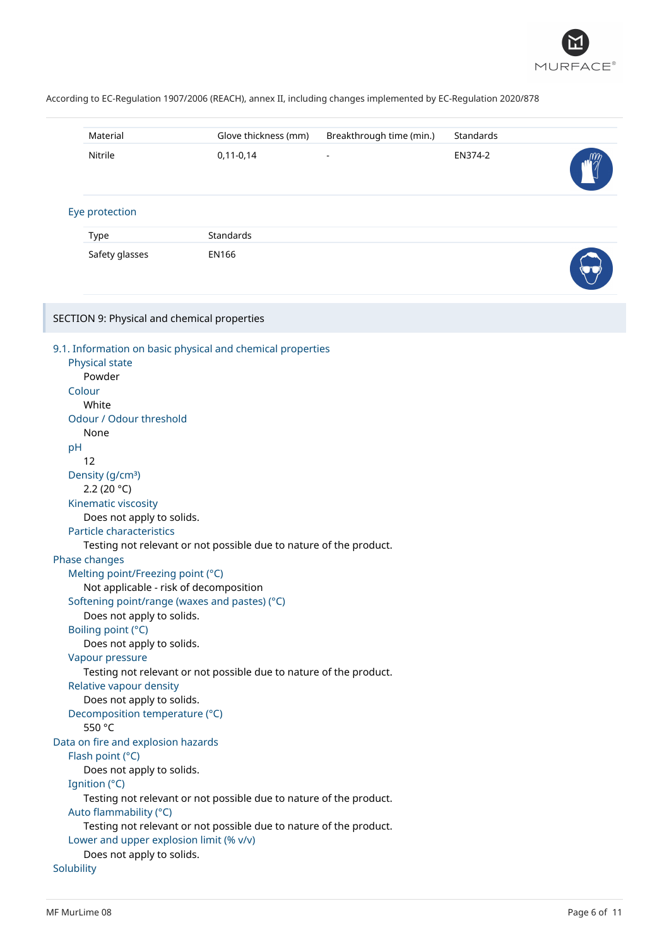

| Material                                                                                                                                                                                                                                                                                                                                                                                                                                                                                  | Glove thickness (mm)                                                                                                                                                                                                                                                                              | Breakthrough time (min.) | Standards |  |
|-------------------------------------------------------------------------------------------------------------------------------------------------------------------------------------------------------------------------------------------------------------------------------------------------------------------------------------------------------------------------------------------------------------------------------------------------------------------------------------------|---------------------------------------------------------------------------------------------------------------------------------------------------------------------------------------------------------------------------------------------------------------------------------------------------|--------------------------|-----------|--|
| Nitrile                                                                                                                                                                                                                                                                                                                                                                                                                                                                                   | $0,11-0,14$                                                                                                                                                                                                                                                                                       |                          | EN374-2   |  |
| Eye protection                                                                                                                                                                                                                                                                                                                                                                                                                                                                            |                                                                                                                                                                                                                                                                                                   |                          |           |  |
| Type                                                                                                                                                                                                                                                                                                                                                                                                                                                                                      | Standards                                                                                                                                                                                                                                                                                         |                          |           |  |
| Safety glasses                                                                                                                                                                                                                                                                                                                                                                                                                                                                            | <b>EN166</b>                                                                                                                                                                                                                                                                                      |                          |           |  |
| SECTION 9: Physical and chemical properties                                                                                                                                                                                                                                                                                                                                                                                                                                               |                                                                                                                                                                                                                                                                                                   |                          |           |  |
| Physical state<br>Powder<br>Colour<br>White<br>Odour / Odour threshold<br>None<br>pH<br>12<br>Density (g/cm <sup>3</sup> )<br>2.2 (20 $°C$ )<br>Kinematic viscosity<br>Does not apply to solids.<br>Particle characteristics<br>Phase changes<br>Melting point/Freezing point (°C)<br>Does not apply to solids.<br>Boiling point (°C)<br>Does not apply to solids.<br>Vapour pressure<br>Relative vapour density<br>Does not apply to solids.<br>Decomposition temperature (°C)<br>550 °C | 9.1. Information on basic physical and chemical properties<br>Testing not relevant or not possible due to nature of the product.<br>Not applicable - risk of decomposition<br>Softening point/range (waxes and pastes) (°C)<br>Testing not relevant or not possible due to nature of the product. |                          |           |  |
| Data on fire and explosion hazards<br>Flash point (°C)<br>Does not apply to solids.                                                                                                                                                                                                                                                                                                                                                                                                       |                                                                                                                                                                                                                                                                                                   |                          |           |  |
| Ignition (°C)<br>Auto flammability (°C)<br>Lower and upper explosion limit (% v/v)                                                                                                                                                                                                                                                                                                                                                                                                        | Testing not relevant or not possible due to nature of the product.<br>Testing not relevant or not possible due to nature of the product.                                                                                                                                                          |                          |           |  |
| Does not apply to solids.<br>Solubility                                                                                                                                                                                                                                                                                                                                                                                                                                                   |                                                                                                                                                                                                                                                                                                   |                          |           |  |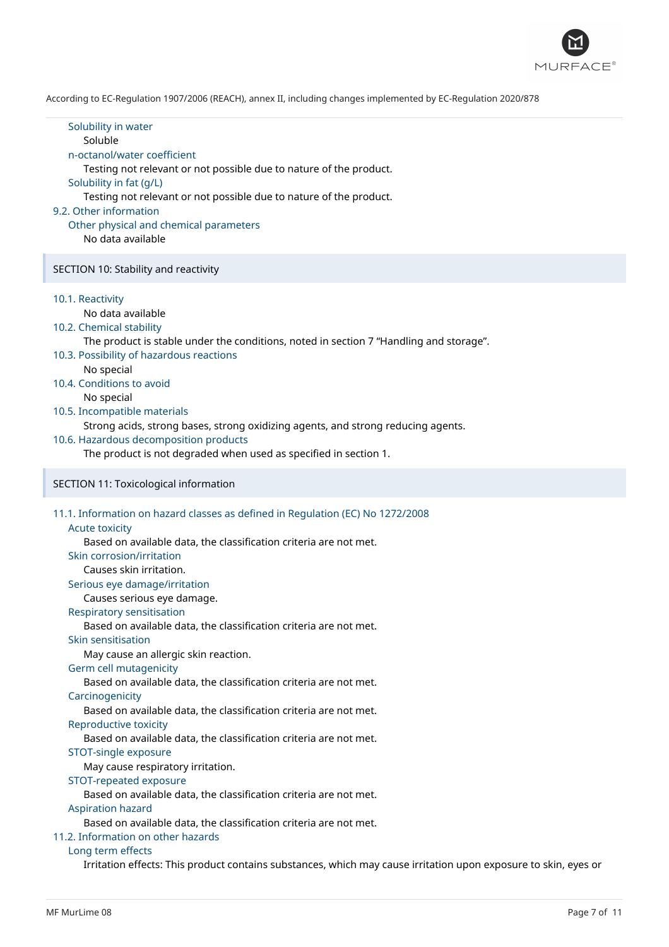

| Solubility in water<br>Soluble<br>n-octanol/water coefficient<br>Testing not relevant or not possible due to nature of the product.<br>Solubility in fat (g/L)<br>Testing not relevant or not possible due to nature of the product.<br>9.2. Other information<br>Other physical and chemical parameters<br>No data available                                                                                                                                                                                                                                                                                                                                                                                                                                                                                                                                                                                                                                                                                         |  |
|-----------------------------------------------------------------------------------------------------------------------------------------------------------------------------------------------------------------------------------------------------------------------------------------------------------------------------------------------------------------------------------------------------------------------------------------------------------------------------------------------------------------------------------------------------------------------------------------------------------------------------------------------------------------------------------------------------------------------------------------------------------------------------------------------------------------------------------------------------------------------------------------------------------------------------------------------------------------------------------------------------------------------|--|
| SECTION 10: Stability and reactivity                                                                                                                                                                                                                                                                                                                                                                                                                                                                                                                                                                                                                                                                                                                                                                                                                                                                                                                                                                                  |  |
| 10.1. Reactivity<br>No data available<br>10.2. Chemical stability<br>The product is stable under the conditions, noted in section 7 "Handling and storage".<br>10.3. Possibility of hazardous reactions<br>No special<br>10.4. Conditions to avoid<br>No special<br>10.5. Incompatible materials<br>Strong acids, strong bases, strong oxidizing agents, and strong reducing agents.<br>10.6. Hazardous decomposition products<br>The product is not degraded when used as specified in section 1.                                                                                                                                                                                                                                                                                                                                                                                                                                                                                                                    |  |
| SECTION 11: Toxicological information                                                                                                                                                                                                                                                                                                                                                                                                                                                                                                                                                                                                                                                                                                                                                                                                                                                                                                                                                                                 |  |
| 11.1. Information on hazard classes as defined in Regulation (EC) No 1272/2008<br><b>Acute toxicity</b><br>Based on available data, the classification criteria are not met.<br>Skin corrosion/irritation<br>Causes skin irritation.<br>Serious eye damage/irritation<br>Causes serious eye damage.<br>Respiratory sensitisation<br>Based on available data, the classification criteria are not met.<br>Skin sensitisation<br>May cause an allergic skin reaction.<br>Germ cell mutagenicity<br>Based on available data, the classification criteria are not met.<br>Carcinogenicity<br>Based on available data, the classification criteria are not met.<br>Reproductive toxicity<br>Based on available data, the classification criteria are not met.<br>STOT-single exposure<br>May cause respiratory irritation.<br>STOT-repeated exposure<br>Based on available data, the classification criteria are not met.<br><b>Aspiration hazard</b><br>Based on available data, the classification criteria are not met. |  |
| 11.2. Information on other hazards                                                                                                                                                                                                                                                                                                                                                                                                                                                                                                                                                                                                                                                                                                                                                                                                                                                                                                                                                                                    |  |

#### 11.2. Information on other hazards

### Long term effects

Irritation effects: This product contains substances, which may cause irritation upon exposure to skin, eyes or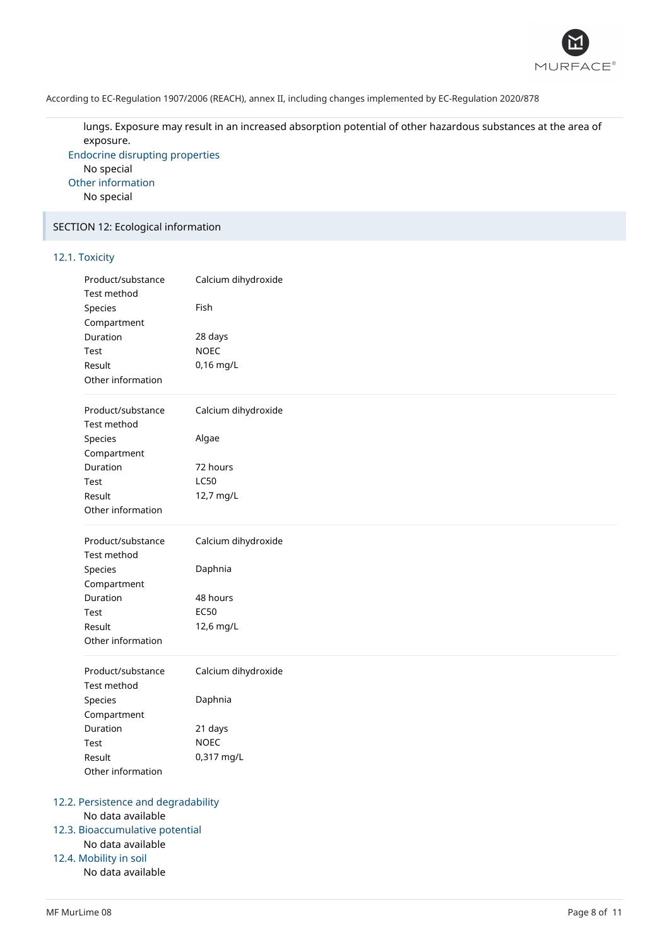

lungs. Exposure may result in an increased absorption potential of other hazardous substances at the area of exposure.

Endocrine disrupting properties No special Other information No special

## SECTION 12: Ecological information

## 12.1. Toxicity

| Product/substance<br>Test method | Calcium dihydroxide |  |
|----------------------------------|---------------------|--|
| Species                          | Fish                |  |
| Compartment                      |                     |  |
| Duration                         | 28 days             |  |
| Test                             | <b>NOEC</b>         |  |
| Result                           | 0,16 mg/L           |  |
| Other information                |                     |  |
| Product/substance<br>Test method | Calcium dihydroxide |  |
| Species                          | Algae               |  |
| Compartment                      |                     |  |
| Duration                         | 72 hours            |  |
| Test                             | <b>LC50</b>         |  |
| Result                           | 12,7 mg/L           |  |
| Other information                |                     |  |
|                                  |                     |  |
| Product/substance                | Calcium dihydroxide |  |
| Test method                      |                     |  |
| Species                          | Daphnia             |  |
| Compartment                      |                     |  |
| Duration                         | 48 hours            |  |
| Test                             | <b>EC50</b>         |  |
| Result                           | 12,6 mg/L           |  |
| Other information                |                     |  |
| Product/substance                | Calcium dihydroxide |  |
| Test method                      |                     |  |
| Species                          | Daphnia             |  |
| Compartment                      |                     |  |
| Duration                         | 21 days             |  |
| Test                             | <b>NOEC</b>         |  |
| Result                           | 0,317 mg/L          |  |
| Other information                |                     |  |

## 12.3. Bioaccumulative potential

No data available

## 12.4. Mobility in soil

No data available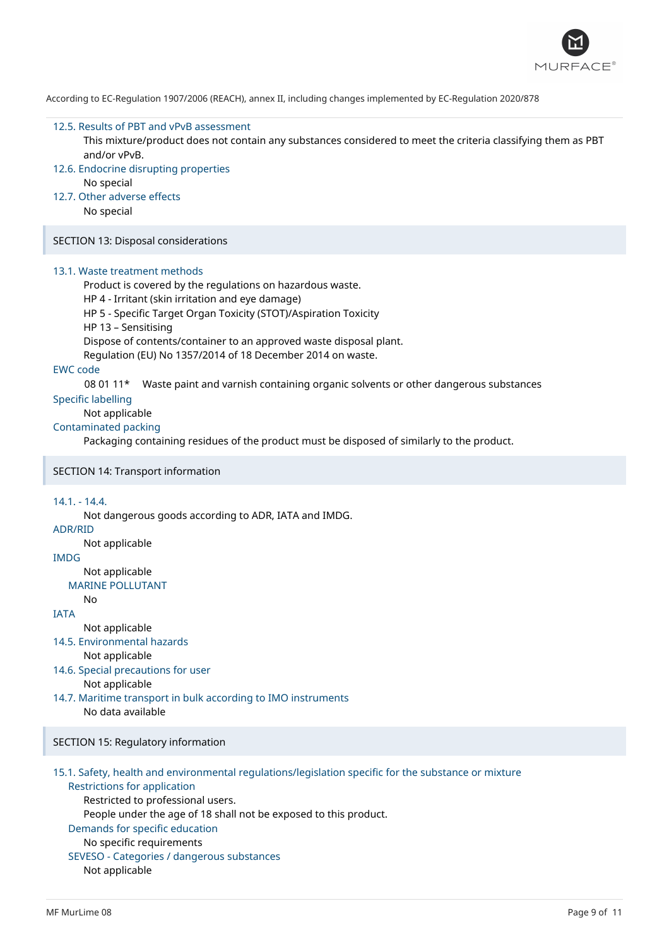

#### 12.5. Results of PBT and vPvB assessment

This mixture/product does not contain any substances considered to meet the criteria classifying them as PBT and/or vPvB.

- 12.6. Endocrine disrupting properties
	- No special
- 12.7. Other adverse effects

No special

SECTION 13: Disposal considerations

#### 13.1. Waste treatment methods

Product is covered by the regulations on hazardous waste.

HP 4 - Irritant (skin irritation and eye damage)

HP 5 - Specific Target Organ Toxicity (STOT)/Aspiration Toxicity

HP 13 – Sensitising

Dispose of contents/container to an approved waste disposal plant.

Regulation (EU) No 1357/2014 of 18 December 2014 on waste.

## EWC code

08 01 11\* Waste paint and varnish containing organic solvents or other dangerous substances

## Specific labelling

## Not applicable

## Contaminated packing

Packaging containing residues of the product must be disposed of similarly to the product.

### SECTION 14: Transport information

#### 14.1. - 14.4.

Not dangerous goods according to ADR, IATA and IMDG.

## ADR/RID

Not applicable

## IMDG

Not applicable

```
MARINE POLLUTANT
```
## No

**IATA** 

- Not applicable
- 14.5. Environmental hazards
	- Not applicable
- 14.6. Special precautions for user

Not applicable

14.7. Maritime transport in bulk according to IMO instruments No data available

## SECTION 15: Regulatory information

- 15.1. Safety, health and environmental regulations/legislation specific for the substance or mixture Restrictions for application
	- Restricted to professional users.

People under the age of 18 shall not be exposed to this product.

Demands for specific education

## No specific requirements

SEVESO - Categories / dangerous substances

Not applicable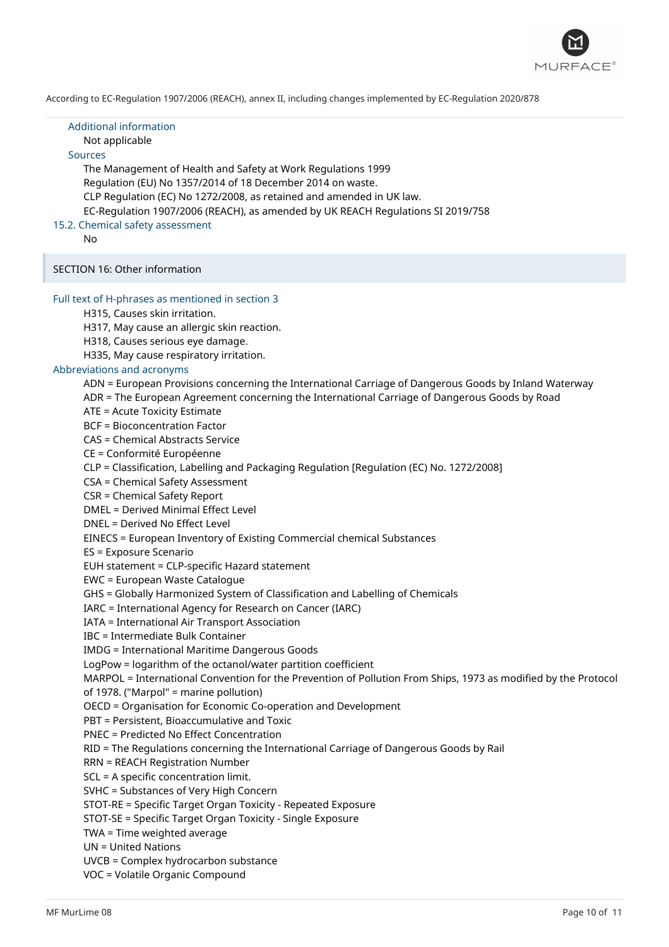

| <b>Additional information</b><br>Not applicable<br><b>Sources</b><br>The Management of Health and Safety at Work Regulations 1999<br>Regulation (EU) No 1357/2014 of 18 December 2014 on waste.<br>CLP Regulation (EC) No 1272/2008, as retained and amended in UK law.<br>EC-Regulation 1907/2006 (REACH), as amended by UK REACH Regulations SI 2019/758<br>15.2. Chemical safety assessment<br>No.                                                                                                                                                                                                                                                                                                                                                                                                                                                                                                                                                                                                                                                                                                                                                                                                                                                                                                                                                                                                                                                                                                                                                                                                                                                                                                                                                                                                                                                                                                                                                                                                                                                                                                                                                                                                         |
|---------------------------------------------------------------------------------------------------------------------------------------------------------------------------------------------------------------------------------------------------------------------------------------------------------------------------------------------------------------------------------------------------------------------------------------------------------------------------------------------------------------------------------------------------------------------------------------------------------------------------------------------------------------------------------------------------------------------------------------------------------------------------------------------------------------------------------------------------------------------------------------------------------------------------------------------------------------------------------------------------------------------------------------------------------------------------------------------------------------------------------------------------------------------------------------------------------------------------------------------------------------------------------------------------------------------------------------------------------------------------------------------------------------------------------------------------------------------------------------------------------------------------------------------------------------------------------------------------------------------------------------------------------------------------------------------------------------------------------------------------------------------------------------------------------------------------------------------------------------------------------------------------------------------------------------------------------------------------------------------------------------------------------------------------------------------------------------------------------------------------------------------------------------------------------------------------------------|
| SECTION 16: Other information                                                                                                                                                                                                                                                                                                                                                                                                                                                                                                                                                                                                                                                                                                                                                                                                                                                                                                                                                                                                                                                                                                                                                                                                                                                                                                                                                                                                                                                                                                                                                                                                                                                                                                                                                                                                                                                                                                                                                                                                                                                                                                                                                                                 |
| Full text of H-phrases as mentioned in section 3<br>H315, Causes skin irritation.<br>H317, May cause an allergic skin reaction.<br>H318, Causes serious eye damage.<br>H335, May cause respiratory irritation.<br>Abbreviations and acronyms<br>ADN = European Provisions concerning the International Carriage of Dangerous Goods by Inland Waterway<br>ADR = The European Agreement concerning the International Carriage of Dangerous Goods by Road<br>ATE = Acute Toxicity Estimate<br><b>BCF = Bioconcentration Factor</b><br><b>CAS = Chemical Abstracts Service</b><br>CE = Conformité Européenne<br>CLP = Classification, Labelling and Packaging Regulation [Regulation (EC) No. 1272/2008]<br>CSA = Chemical Safety Assessment<br>CSR = Chemical Safety Report<br><b>DMEL = Derived Minimal Effect Level</b><br>DNEL = Derived No Effect Level<br>EINECS = European Inventory of Existing Commercial chemical Substances<br>ES = Exposure Scenario<br>EUH statement = CLP-specific Hazard statement<br><b>EWC</b> = European Waste Catalogue<br>GHS = Globally Harmonized System of Classification and Labelling of Chemicals<br>IARC = International Agency for Research on Cancer (IARC)<br>IATA = International Air Transport Association<br><b>IBC</b> = Intermediate Bulk Container<br><b>IMDG</b> = International Maritime Dangerous Goods<br>LogPow = logarithm of the octanol/water partition coefficient<br>MARPOL = International Convention for the Prevention of Pollution From Ships, 1973 as modified by the Protocol<br>of 1978. ("Marpol" = marine pollution)<br>OECD = Organisation for Economic Co-operation and Development<br>PBT = Persistent, Bioaccumulative and Toxic<br>PNEC = Predicted No Effect Concentration<br>RID = The Regulations concerning the International Carriage of Dangerous Goods by Rail<br><b>RRN = REACH Registration Number</b><br>SCL = A specific concentration limit.<br>SVHC = Substances of Very High Concern<br>STOT-RE = Specific Target Organ Toxicity - Repeated Exposure<br>STOT-SE = Specific Target Organ Toxicity - Single Exposure<br>TWA = Time weighted average<br><b>UN = United Nations</b><br>UVCB = Complex hydrocarbon substance |
| VOC = Volatile Organic Compound                                                                                                                                                                                                                                                                                                                                                                                                                                                                                                                                                                                                                                                                                                                                                                                                                                                                                                                                                                                                                                                                                                                                                                                                                                                                                                                                                                                                                                                                                                                                                                                                                                                                                                                                                                                                                                                                                                                                                                                                                                                                                                                                                                               |

I